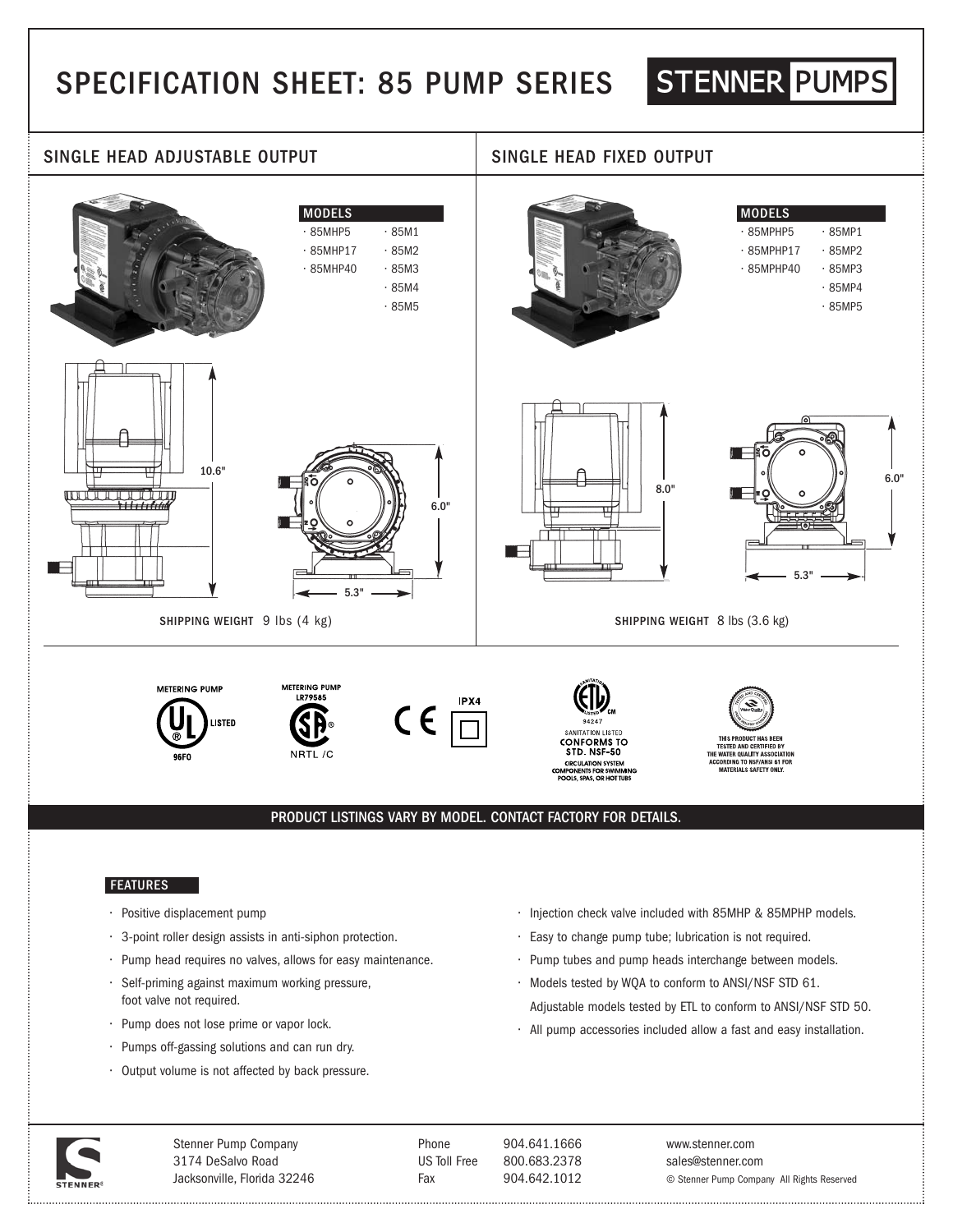# SPECIFICATION SHEET: 85 PUMP SERIES

## STENNER PUMPS



## FEATURES

- Positive displacement pump
- 3-point roller design assists in anti-siphon protection.
- Pump head requires no valves, allows for easy maintenance.
- Self-priming against maximum working pressure, foot valve not required.
- Pump does not lose prime or vapor lock.
- Pumps off-gassing solutions and can run dry.
- Output volume is not affected by back pressure.
- Injection check valve included with 85MHP & 85MPHP models.
- Easy to change pump tube; lubrication is not required.
- Pump tubes and pump heads interchange between models.
- Models tested by WQA to conform to ANSI/NSF STD 61. Adjustable models tested by ETL to conform to ANSI/NSF STD 50.
- All pump accessories included allow a fast and easy installation.



Stenner Pump Company 3174 DeSalvo Road Jacksonville, Florida 32246

. . . . . . . . . . . .

Phone 904.641.1666 US Toll Free 800.683.2378 Fax 904.642.1012

www.stenner.com sales@stenner.com © Stenner Pump Company All Rights Reserved